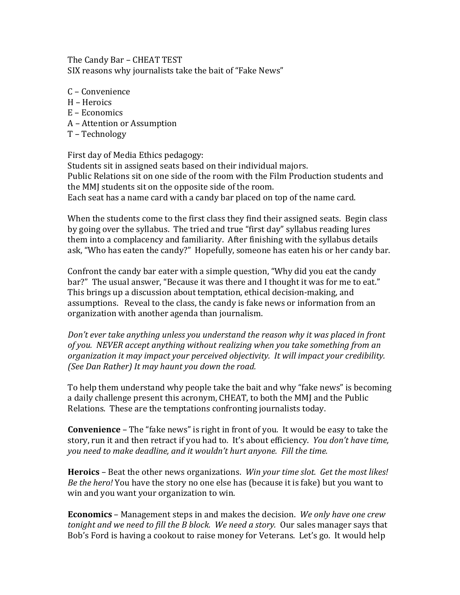The Candy Bar - CHEAT TEST SIX reasons why journalists take the bait of "Fake News"

- C – Convenience
- H Heroics
- $E E$ conomics
- A – Attention or Assumption
- T Technology

First day of Media Ethics pedagogy: Students sit in assigned seats based on their individual majors. Public Relations sit on one side of the room with the Film Production students and the MMI students sit on the opposite side of the room. Each seat has a name card with a candy bar placed on top of the name card.

When the students come to the first class they find their assigned seats. Begin class by going over the syllabus. The tried and true "first day" syllabus reading lures them into a complacency and familiarity. After finishing with the syllabus details ask, "Who has eaten the candy?" Hopefully, someone has eaten his or her candy bar.

Confront the candy bar eater with a simple question, "Why did you eat the candy bar?" The usual answer, "Because it was there and I thought it was for me to eat." This brings up a discussion about temptation, ethical decision-making, and assumptions. Reveal to the class, the candy is fake news or information from an organization with another agenda than journalism.

*Don't* ever take anything unless you understand the reason why it was placed in front of you. NEVER accept anything without realizing when you take something from an *organization it may impact your perceived objectivity. It will impact your credibility. (See Dan Rather)* It may haunt you down the road.

To help them understand why people take the bait and why "fake news" is becoming a daily challenge present this acronym, CHEAT, to both the MMJ and the Public Relations. These are the temptations confronting journalists today.

**Convenience** - The "fake news" is right in front of you. It would be easy to take the story, run it and then retract if you had to. It's about efficiency. *You don't have time*, you need to make deadline, and it wouldn't hurt anyone. Fill the time.

**Heroics** – Beat the other news organizations. *Win your time slot. Get the most likes! Be the hero!* You have the story no one else has (because it is fake) but you want to win and you want your organization to win.

**Economics** – Management steps in and makes the decision. We only have one crew *tonight and we need to fill the B block. We need a story.* Our sales manager says that Bob's Ford is having a cookout to raise money for Veterans. Let's go. It would help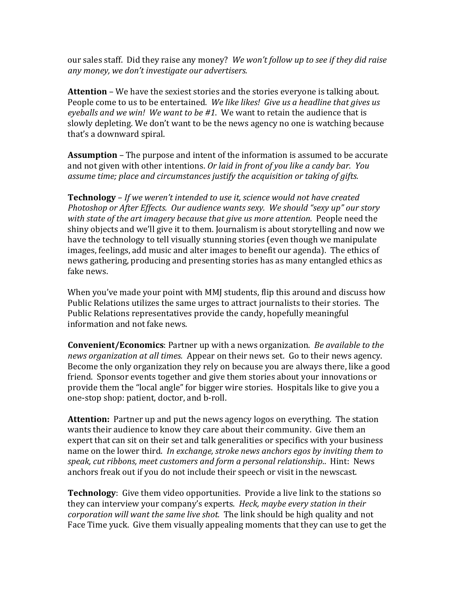our sales staff. Did they raise any money? We won't follow up to see if they did raise *any money, we don't investigate our advertisers.*

**Attention** – We have the sexiest stories and the stories everyone is talking about. People come to us to be entertained. We like likes! Give us a headline that gives us eyeballs and we win! We want to be #1. We want to retain the audience that is slowly depleting. We don't want to be the news agency no one is watching because that's a downward spiral.

**Assumption** – The purpose and intent of the information is assumed to be accurate and not given with other intentions. Or laid in front of you like a candy bar. You assume time; place and circumstances justify the acquisition or taking of gifts.

**Technology** – If we weren't intended to use it, science would not have created *Photoshop or After Effects. Our audience wants sexy. We should "sexy up" our story* with state of the art imagery because that give us more attention. People need the shiny objects and we'll give it to them. Journalism is about storytelling and now we have the technology to tell visually stunning stories (even though we manipulate images, feelings, add music and alter images to benefit our agenda). The ethics of news gathering, producing and presenting stories has as many entangled ethics as fake news.

When you've made your point with MMJ students, flip this around and discuss how Public Relations utilizes the same urges to attract journalists to their stories. The Public Relations representatives provide the candy, hopefully meaningful information and not fake news.

**Convenient/Economics**: Partner up with a news organization. *Be available to the news organization at all times.* Appear on their news set. Go to their news agency. Become the only organization they rely on because you are always there, like a good friend. Sponsor events together and give them stories about your innovations or provide them the "local angle" for bigger wire stories. Hospitals like to give you a one-stop shop: patient, doctor, and b-roll.

**Attention:** Partner up and put the news agency logos on everything. The station wants their audience to know they care about their community. Give them an expert that can sit on their set and talk generalities or specifics with your business name on the lower third. *In exchange, stroke news anchors egos by inviting them to* speak, cut ribbons, meet customers and form a personal relationship.. Hint: News anchors freak out if you do not include their speech or visit in the newscast.

**Technology**: Give them video opportunities. Provide a live link to the stations so they can interview your company's experts. *Heck, maybe every station in their corporation* will want the same live shot. The link should be high quality and not Face Time yuck. Give them visually appealing moments that they can use to get the